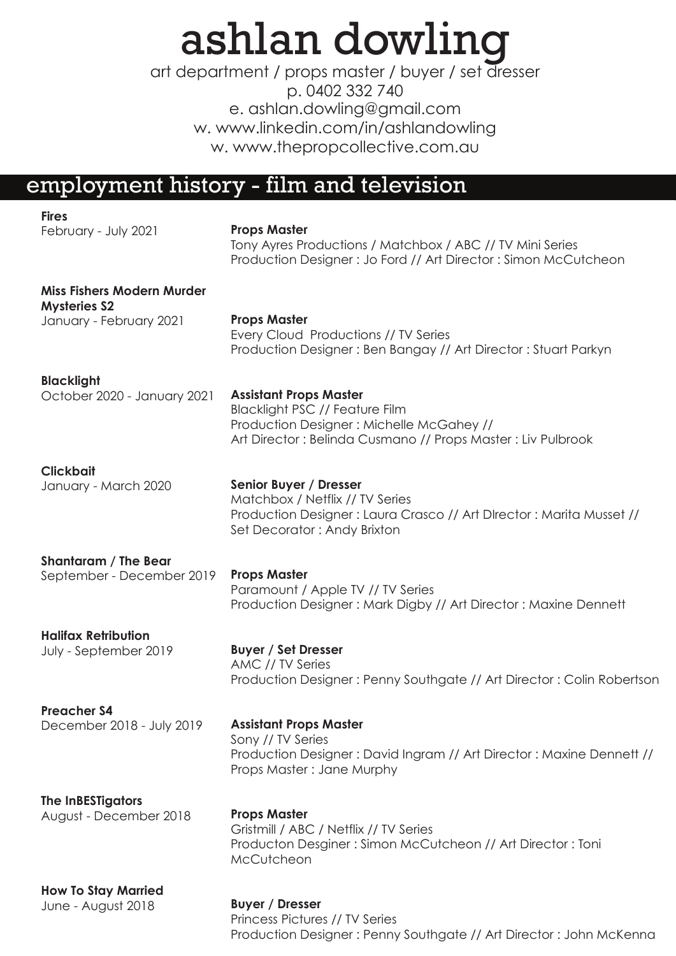# ashlan dowling

e. ashlan.dowling@gmail.com w. www.linkedin.com/in/ashlandowling w. www.thepropcollective.com.au art department / props master / buyer / set dresser p. 0402 332 740

## employment history - film and television

| <b>Fires</b>                                             |                                                                                                                                                                                   |
|----------------------------------------------------------|-----------------------------------------------------------------------------------------------------------------------------------------------------------------------------------|
| February - July 2021                                     | <b>Props Master</b><br>Tony Ayres Productions / Matchbox / ABC // TV Mini Series<br>Production Designer: Jo Ford // Art Director: Simon McCutcheon                                |
| <b>Miss Fishers Modern Murder</b><br><b>Mysteries S2</b> |                                                                                                                                                                                   |
| January - February 2021                                  | <b>Props Master</b><br>Every Cloud Productions // TV Series<br>Production Designer: Ben Bangay // Art Director: Stuart Parkyn                                                     |
| <b>Blacklight</b>                                        |                                                                                                                                                                                   |
| October 2020 - January 2021                              | <b>Assistant Props Master</b><br><b>Blacklight PSC // Feature Film</b><br>Production Designer: Michelle McGahey //<br>Art Director: Belinda Cusmano // Props Master: Liv Pulbrook |
| <b>Clickbait</b>                                         |                                                                                                                                                                                   |
| January - March 2020                                     | Senior Buyer / Dresser<br>Matchbox / Netflix // TV Series<br>Production Designer: Laura Crasco // Art DIrector: Marita Musset //<br>Set Decorator: Andy Brixton                   |
| <b>Shantaram / The Bear</b>                              |                                                                                                                                                                                   |
| September - December 2019                                | <b>Props Master</b><br>Paramount / Apple TV // TV Series<br>Production Designer: Mark Digby // Art Director: Maxine Dennett                                                       |
| <b>Halifax Retribution</b>                               |                                                                                                                                                                                   |
| July - September 2019                                    | <b>Buyer / Set Dresser</b><br>AMC // TV Series<br>Production Designer: Penny Southgate // Art Director: Colin Robertson                                                           |
| <b>Preacher S4</b>                                       |                                                                                                                                                                                   |
| December 2018 - July 2019                                | <b>Assistant Props Master</b><br>Sony // TV Series<br>Production Designer: David Ingram // Art Director: Maxine Dennett //<br>Props Master: Jane Murphy                           |
| <b>The InBESTigators</b>                                 |                                                                                                                                                                                   |
| August - December 2018                                   | <b>Props Master</b><br>Gristmill / ABC / Netflix // TV Series<br>Producton Desginer: Simon McCutcheon // Art Director: Toni<br>McCutcheon                                         |
| <b>How To Stay Married</b>                               |                                                                                                                                                                                   |
| June - August 2018                                       | <b>Buyer / Dresser</b><br>Princess Pictures // TV Series<br>Production Designer: Penny Southgate // Art Director: John McKenna                                                    |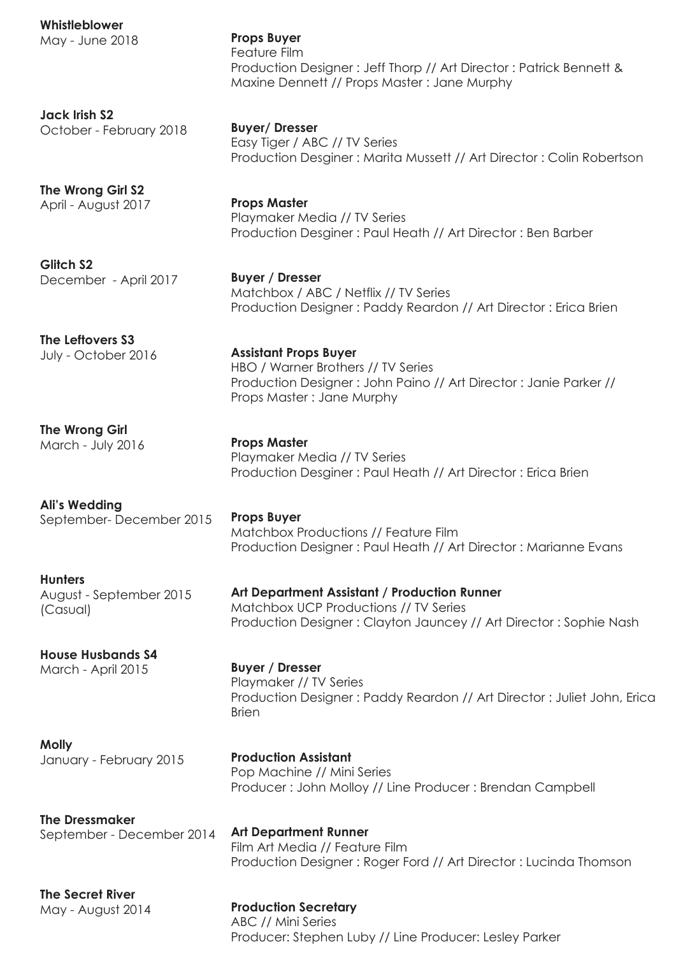**Whistleblower** May - June 2018 **Jack Irish S2** October - February 2018 **The Wrong Girl S2** April - August 2017 **Glitch S2** December - April 2017 **The Leftovers S3** July - October 2016 **The Wrong Girl** March - July 2016 **Ali's Wedding** September- December 2015 **Hunters** August - September 2015 (Casual) **House Husbands S4** March - April 2015 **Molly** January - February 2015 **The Dressmaker** September - December 2014 **Props Buyer**  Feature Film Production Designer : Jeff Thorp // Art Director : Patrick Bennett & Maxine Dennett // Props Master : Jane Murphy **Buyer/ Dresser** Easy Tiger / ABC // TV Series Production Desginer : Marita Mussett // Art Director : Colin Robertson **Props Master** Playmaker Media // TV Series Production Desginer : Paul Heath // Art Director : Ben Barber **Buyer / Dresser** Matchbox / ABC / Netflix // TV Series Production Designer : Paddy Reardon // Art Director : Erica Brien **Assistant Props Buyer** HBO / Warner Brothers // TV Series Production Designer : John Paino // Art Director : Janie Parker // Props Master : Jane Murphy **Props Master** Playmaker Media // TV Series Production Desginer : Paul Heath // Art Director : Erica Brien **Props Buyer**  Matchbox Productions // Feature Film Production Designer : Paul Heath // Art Director : Marianne Evans **Art Department Assistant / Production Runner** Matchbox UCP Productions // TV Series Production Designer : Clayton Jauncey // Art Director : Sophie Nash **Buyer / Dresser**  Playmaker // TV Series Production Designer : Paddy Reardon // Art Director : Juliet John, Erica Brien **Production Assistant**  Pop Machine // Mini Series Producer : John Molloy // Line Producer : Brendan Campbell **Art Department Runner** Film Art Media // Feature Film Production Designer : Roger Ford // Art Director : Lucinda Thomson

**The Secret River** May - August 2014

**Production Secretary** ABC // Mini Series Producer: Stephen Luby // Line Producer: Lesley Parker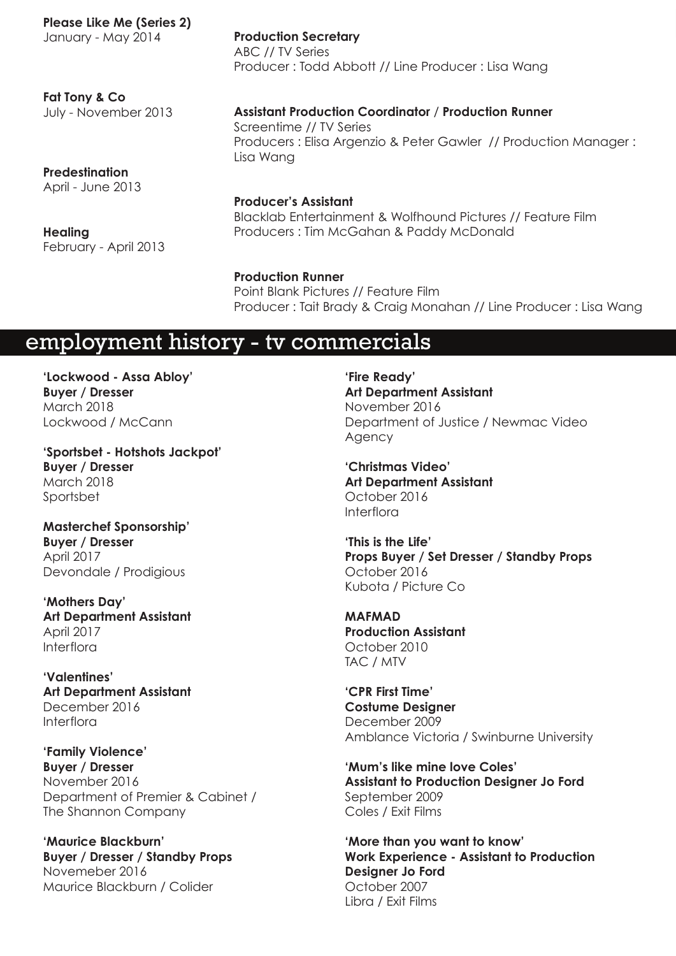**Please Like Me (Series 2)**

January - May 2014

**Production Secretary** ABC // TV Series Producer : Todd Abbott // Line Producer : Lisa Wang

**Fat Tony & Co** July - November 2013

**Assistant Production Coordinator** / **Production Runner** Screentime // TV Series Producers : Elisa Argenzio & Peter Gawler // Production Manager : Lisa Wang

**Predestination** April - June 2013

**Healing** February - April 2013 **Producer's Assistant** Blacklab Entertainment & Wolfhound Pictures // Feature Film Producers : Tim McGahan & Paddy McDonald

**Production Runner** Point Blank Pictures // Feature Film Producer : Tait Brady & Craig Monahan // Line Producer : Lisa Wang

## employment history - tv commercials

**'Lockwood - Assa Abloy' Buyer / Dresser** March 2018 Lockwood / McCann

**'Sportsbet - Hotshots Jackpot' Buyer / Dresser** March 2018 Sportsbet

**Masterchef Sponsorship' Buyer / Dresser** April 2017 Devondale / Prodigious

**'Mothers Day' Art Department Assistant**  April 2017 Interflora

**'Valentines' Art Department Assistant**  December 2016 Interflora

**'Family Violence' Buyer / Dresser** November 2016 Department of Premier & Cabinet / The Shannon Company

**'Maurice Blackburn' Buyer / Dresser / Standby Props** Novemeber 2016 Maurice Blackburn / Colider

**'Fire Ready' Art Department Assistant**  November 2016 Department of Justice / Newmac Video Agency

**'Christmas Video' Art Department Assistant**  October 2016 Interflora

**'This is the Life' Props Buyer / Set Dresser / Standby Props** October 2016 Kubota / Picture Co

**MAFMAD Production Assistant** October 2010 TAC / MTV

**'CPR First Time' Costume Designer**  December 2009 Amblance Victoria / Swinburne University

**'Mum's like mine love Coles' Assistant to Production Designer Jo Ford**  September 2009 Coles / Exit Films

**'More than you want to know' Work Experience - Assistant to Production Designer Jo Ford**  October 2007 Libra / Exit Films